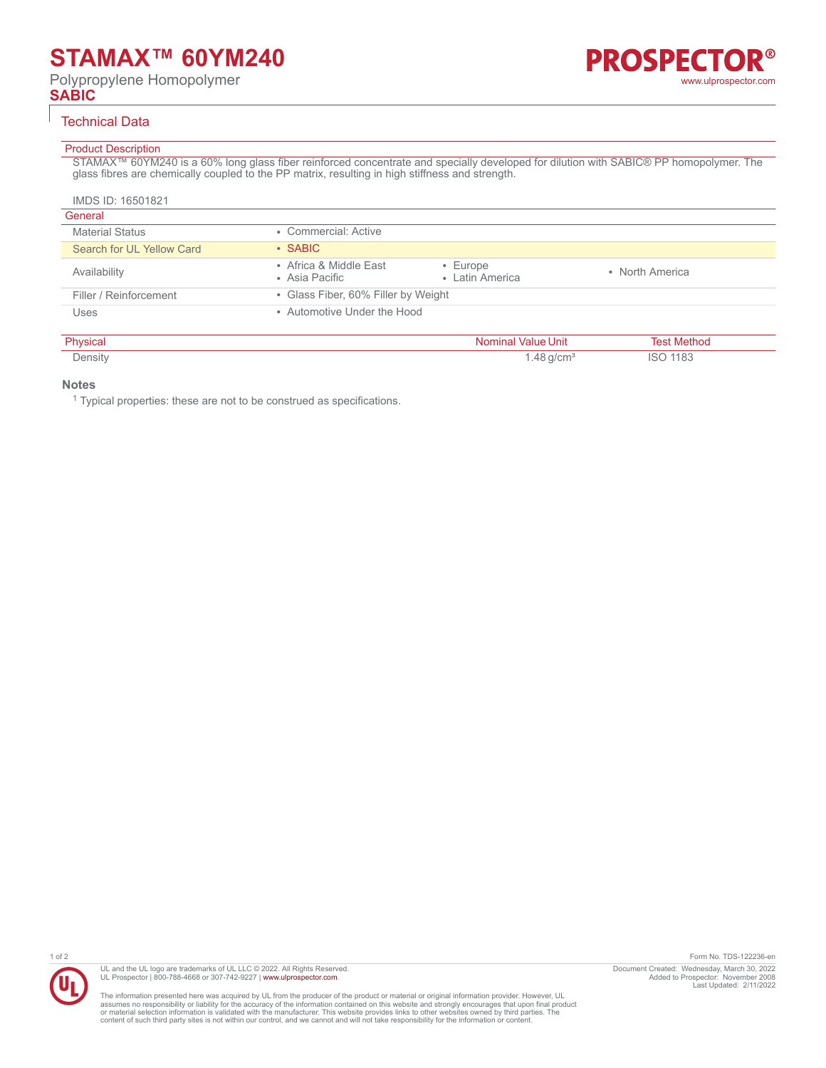# **STAMAX™ 60YM240**

Polypropylene Homopolymer **SABIC**



### Technical Data

# Product Description

STAMAX™ 60YM240 is a 60% long glass fiber reinforced concentrate and specially developed for dilution with SABIC® PP homopolymer. The glass fibres are chemically coupled to the PP matrix, resulting in high stiffness and strength.

| IMDS ID: 16501821         |                                          |                                   |                 |
|---------------------------|------------------------------------------|-----------------------------------|-----------------|
| General                   |                                          |                                   |                 |
| <b>Material Status</b>    | • Commercial: Active                     |                                   |                 |
| Search for UL Yellow Card | $\cdot$ SABIC                            |                                   |                 |
| Availability              | • Africa & Middle East<br>• Asia Pacific | $\cdot$ Europe<br>• Latin America | • North America |
| Filler / Reinforcement    | • Glass Fiber, 60% Filler by Weight      |                                   |                 |
| Uses                      | • Automotive Under the Hood              |                                   |                 |

| Dhugio <sub>n</sub> | the contract of the contract of the contract of the contract of the contract of the contract of the contract of |  |
|---------------------|-----------------------------------------------------------------------------------------------------------------|--|
| $     -$            |                                                                                                                 |  |

#### **Notes**

<sup>1</sup> Typical properties: these are not to be construed as specifications.



UL and the UL logo are trademarks of UL LLC © 2022. All Rights Reserved. UL Prospector | 800-788-4668 or 307-742-9227 | [www.ulprospector.com](http://www.ulprospector.com).

The information presented here was acquired by UL from the producer of the product or material or original information provider. However, UL<br>assumes no responsibility or liability for the accuracy of the information contai